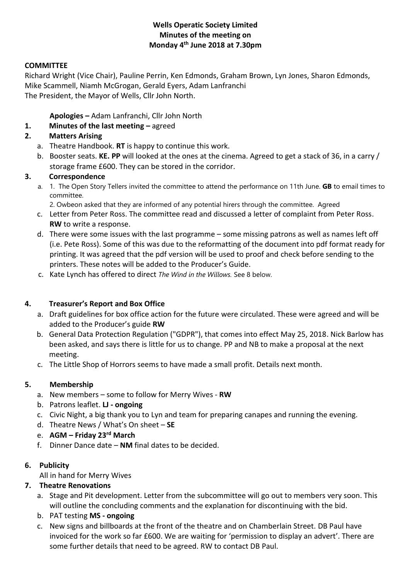### **Wells Operatic Society Limited Minutes of the meeting on Monday 4th June 2018 at 7.30pm**

### **COMMITTEE**

Richard Wright (Vice Chair), Pauline Perrin, Ken Edmonds, Graham Brown, Lyn Jones, Sharon Edmonds, Mike Scammell, Niamh McGrogan, Gerald Eyers, Adam Lanfranchi The President, the Mayor of Wells, Cllr John North.

**Apologies –** Adam Lanfranchi, Cllr John North

## **1. Minutes of the last meeting –** agreed

## **2. Matters Arising**

- a. Theatre Handbook. **RT** is happy to continue this work.
- b. Booster seats. **KE. PP** will looked at the ones at the cinema. Agreed to get a stack of 36, in a carry / storage frame £600. They can be stored in the corridor.

#### **3. Correspondence**

- a. 1. The Open Story Tellers invited the committee to attend the performance on 11th June. **GB** to email times to committee.
	- 2. Owbeon asked that they are informed of any potential hirers through the committee. Agreed
- c. Letter from Peter Ross. The committee read and discussed a letter of complaint from Peter Ross. **RW** to write a response.
- d. There were some issues with the last programme some missing patrons as well as names left off (i.e. Pete Ross). Some of this was due to the reformatting of the document into pdf format ready for printing. It was agreed that the pdf version will be used to proof and check before sending to the printers. These notes will be added to the Producer's Guide.
- c. Kate Lynch has offered to direct *The Wind in the Willows.* See 8 below.

#### **4. Treasurer's Report and Box Office**

- a. Draft guidelines for box office action for the future were circulated. These were agreed and will be added to the Producer's guide **RW**
- b. General Data Protection Regulation ("GDPR"), that comes into effect May 25, 2018. Nick Barlow has been asked, and says there is little for us to change. PP and NB to make a proposal at the next meeting.
- c. The Little Shop of Horrors seems to have made a small profit. Details next month.

# **5. Membership**

- a. New members some to follow for Merry Wives **RW**
- b. Patrons leaflet. **LJ - ongoing**
- c. Civic Night, a big thank you to Lyn and team for preparing canapes and running the evening.
- d. Theatre News / What's On sheet **SE**
- e. **AGM – Friday 23rd March**
- f. Dinner Dance date **NM** final dates to be decided.

#### **6. Publicity**

All in hand for Merry Wives

# **7. Theatre Renovations**

- a. Stage and Pit development. Letter from the subcommittee will go out to members very soon. This will outline the concluding comments and the explanation for discontinuing with the bid.
- b. PAT testing **MS - ongoing**
- c. New signs and billboards at the front of the theatre and on Chamberlain Street. DB Paul have invoiced for the work so far £600. We are waiting for 'permission to display an advert'. There are some further details that need to be agreed. RW to contact DB Paul.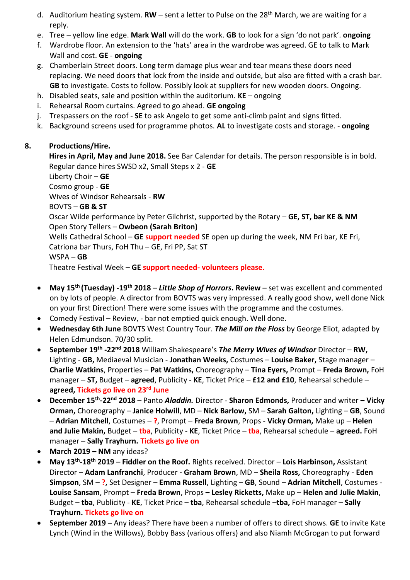- d. Auditorium heating system. **RW** sent a letter to Pulse on the 28<sup>th</sup> March, we are waiting for a reply.
- e. Tree yellow line edge. **Mark Wall** will do the work. **GB** to look for a sign 'do not park'. **ongoing**
- f. Wardrobe floor. An extension to the 'hats' area in the wardrobe was agreed. GE to talk to Mark Wall and cost. **GE** - **ongoing**
- g. Chamberlain Street doors. Long term damage plus wear and tear means these doors need replacing. We need doors that lock from the inside and outside, but also are fitted with a crash bar. **GB** to investigate. Costs to follow. Possibly look at suppliers for new wooden doors. Ongoing.
- h. Disabled seats, sale and position within the auditorium. **KE** ongoing
- i. Rehearsal Room curtains. Agreed to go ahead. **GE ongoing**
- j. Trespassers on the roof **SE** to ask Angelo to get some anti-climb paint and signs fitted.
- k. Background screens used for programme photos. **AL** to investigate costs and storage. **ongoing**

# **8. Productions/Hire.**

**Hires in April, May and June 2018.** See Bar Calendar for details. The person responsible is in bold. Regular dance hires SWSD x2, Small Steps x 2 - **GE**

Liberty Choir – **GE** Cosmo group - **GE** Wives of Windsor Rehearsals - **RW** BOVTS – **GB & ST** Oscar Wilde performance by Peter Gilchrist, supported by the Rotary – **GE, ST, bar KE & NM** Open Story Tellers – **Owbeon (Sarah Briton)** Wells Cathedral School – **GE support needed** SE open up during the week, NM Fri bar, KE Fri, Catriona bar Thurs, FoH Thu – GE, Fri PP, Sat ST WSPA – **GB**

Theatre Festival Week – **GE support needed- volunteers please.**

- **May 15th (Tuesday) -19th 2018 –** *Little Shop of Horrors***. Review –** set was excellent and commented on by lots of people. A director from BOVTS was very impressed. A really good show, well done Nick on your first Direction! There were some issues with the programme and the costumes.
- Comedy Festival Review, bar not emptied quick enough. Well done.
- **Wednesday 6th June** BOVTS West Country Tour. *The Mill on the Floss* by George Eliot, adapted by Helen Edmundson. 70/30 split.
- **September 19th -22nd 2018** William Shakespeare's *The Merry Wives of Windsor* Director **RW,**  Lighting - **GB,** Mediaeval Musician - **Jonathan Weeks,** Costumes – **Louise Baker,** Stage manager – **Charlie Watkins**, Properties – **Pat Watkins,** Choreography – **Tina Eyers,** Prompt – **Freda Brown,** FoH manager – **ST,** Budget – **agreed**, Publicity - **KE**, Ticket Price – **£12 and £10**, Rehearsal schedule – **agreed, Tickets go live on 23rd June**
- **December 15th -22nd 2018** *–* Panto *Aladdin.* Director **Sharon Edmonds,** Producer and writer **– Vicky Orman,** Choreography – **Janice Holwill**, MD – **Nick Barlow,** SM – **Sarah Galton,** Lighting – **GB**, Sound – **Adrian Mitchell**, Costumes – **?**, Prompt – **Freda Brown**, Props - **Vicky Orman,** Make up – **Helen and Julie Makin,** Budget – **tba**, Publicity - **KE**, Ticket Price – **tba**, Rehearsal schedule – **agreed.** FoH manager – **Sally Trayhurn. Tickets go live on**
- **March 2019 – NM** any ideas?
- **May 13th -18th 2019 – Fiddler on the Roof.** Rights received. Director **Lois Harbinson,** Assistant Director – **Adam Lanfranchi**, Producer **- Graham Brown**, MD – **Sheila Ross,** Choreography - **Eden Simpson**, SM – **?,** Set Designer – **Emma Russell**, Lighting – **GB**, Sound – **Adrian Mitchell**, Costumes - **Louise Sansam**, Prompt – **Freda Brown**, Props **– Lesley Ricketts,** Make up – **Helen and Julie Makin**, Budget – **tba**, Publicity - **KE**, Ticket Price – **tba**, Rehearsal schedule –**tba,** FoH manager – **Sally Trayhurn. Tickets go live on**
- **September 2019 –** Any ideas? There have been a number of offers to direct shows. **GE** to invite Kate Lynch (Wind in the Willows), Bobby Bass (various offers) and also Niamh McGrogan to put forward